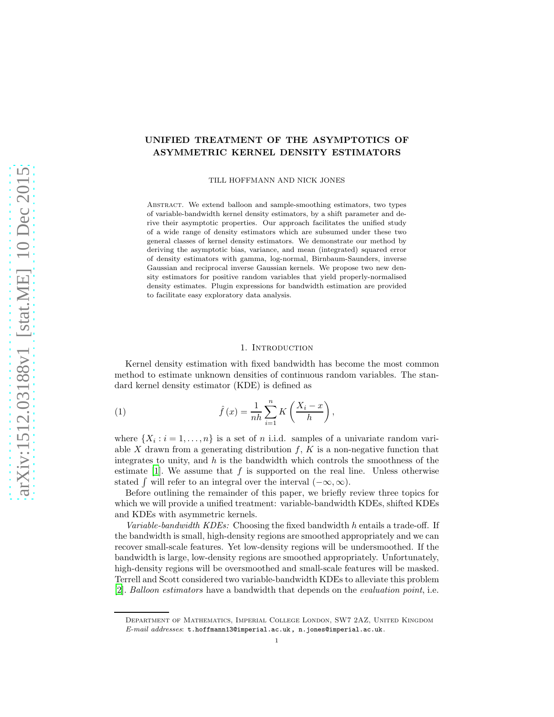# UNIFIED TREATMENT OF THE ASYMPTOTICS OF ASYMMETRIC KERNEL DENSITY ESTIMATORS

TILL HOFFMANN AND NICK JONES

Abstract. We extend balloon and sample-smoothing estimators, two types of variable-bandwidth kernel density estimators, by a shift parameter and derive their asymptotic properties. Our approach facilitates the unified study of a wide range of density estimators which are subsumed under these two general classes of kernel density estimators. We demonstrate our method by deriving the asymptotic bias, variance, and mean (integrated) squared error of density estimators with gamma, log-normal, Birnbaum-Saunders, inverse Gaussian and reciprocal inverse Gaussian kernels. We propose two new density estimators for positive random variables that yield properly-normalised density estimates. Plugin expressions for bandwidth estimation are provided to facilitate easy exploratory data analysis.

### <span id="page-0-0"></span>1. INTRODUCTION

Kernel density estimation with fixed bandwidth has become the most common method to estimate unknown densities of continuous random variables. The standard kernel density estimator (KDE) is defined as

(1) 
$$
\hat{f}(x) = \frac{1}{nh} \sum_{i=1}^{n} K\left(\frac{X_i - x}{h}\right),
$$

where  $\{X_i : i = 1, \ldots, n\}$  is a set of *n* i.i.d. samples of a univariate random variable X drawn from a generating distribution  $f, K$  is a non-negative function that integrates to unity, and  $h$  is the bandwidth which controls the smoothness of the estimate  $[1]$ . We assume that f is supported on the real line. Unless otherwise stated  $\int$  will refer to an integral over the interval  $(-\infty, \infty)$ .

Before outlining the remainder of this paper, we briefly review three topics for which we will provide a unified treatment: variable-bandwidth KDEs, shifted KDEs and KDEs with asymmetric kernels.

*Variable-bandwidth KDEs:* Choosing the fixed bandwidth h entails a trade-off. If the bandwidth is small, high-density regions are smoothed appropriately and we can recover small-scale features. Yet low-density regions will be undersmoothed. If the bandwidth is large, low-density regions are smoothed appropriately. Unfortunately, high-density regions will be oversmoothed and small-scale features will be masked. Terrell and Scott considered two variable-bandwidth KDEs to alleviate this problem [\[2\]](#page-14-1). *Balloon estimators* have a bandwidth that depends on the *evaluation point*, i.e.

Department of Mathematics, Imperial College London, SW7 2AZ, United Kingdom E-mail addresses: t.hoffmann13@imperial.ac.uk, n.jones@imperial.ac.uk.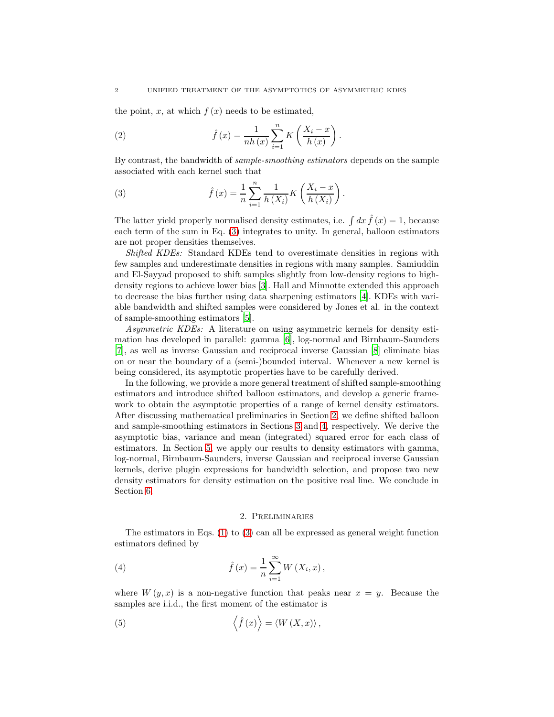the point, x, at which  $f(x)$  needs to be estimated,

<span id="page-1-2"></span>(2) 
$$
\hat{f}(x) = \frac{1}{nh(x)} \sum_{i=1}^{n} K\left(\frac{X_i - x}{h(x)}\right).
$$

By contrast, the bandwidth of *sample-smoothing estimators* depends on the sample associated with each kernel such that

<span id="page-1-0"></span>(3) 
$$
\hat{f}(x) = \frac{1}{n} \sum_{i=1}^{n} \frac{1}{h(X_i)} K\left(\frac{X_i - x}{h(X_i)}\right).
$$

The latter yield properly normalised density estimates, i.e.  $\int dx \hat{f}(x) = 1$ , because each term of the sum in Eq. [\(3\)](#page-1-0) integrates to unity. In general, balloon estimators are not proper densities themselves.

*Shifted KDEs:* Standard KDEs tend to overestimate densities in regions with few samples and underestimate densities in regions with many samples. Samiuddin and El-Sayyad proposed to shift samples slightly from low-density regions to highdensity regions to achieve lower bias [\[3\]](#page-14-2). Hall and Minnotte extended this approach to decrease the bias further using data sharpening estimators [\[4\]](#page-14-3). KDEs with variable bandwidth and shifted samples were considered by Jones et al. in the context of sample-smoothing estimators [\[5\]](#page-14-4).

*Asymmetric KDEs:* A literature on using asymmetric kernels for density estimation has developed in parallel: gamma [\[6](#page-14-5)], log-normal and Birnbaum-Saunders [\[7\]](#page-15-0), as well as inverse Gaussian and reciprocal inverse Gaussian [\[8\]](#page-15-1) eliminate bias on or near the boundary of a (semi-)bounded interval. Whenever a new kernel is being considered, its asymptotic properties have to be carefully derived.

In the following, we provide a more general treatment of shifted sample-smoothing estimators and introduce shifted balloon estimators, and develop a generic framework to obtain the asymptotic properties of a range of kernel density estimators. After discussing mathematical preliminaries in Section [2,](#page-1-1) we define shifted balloon and sample-smoothing estimators in Sections [3](#page-2-0) and [4,](#page-3-0) respectively. We derive the asymptotic bias, variance and mean (integrated) squared error for each class of estimators. In Section [5,](#page-4-0) we apply our results to density estimators with gamma, log-normal, Birnbaum-Saunders, inverse Gaussian and reciprocal inverse Gaussian kernels, derive plugin expressions for bandwidth selection, and propose two new density estimators for density estimation on the positive real line. We conclude in Section [6.](#page-10-0)

#### 2. Preliminaries

<span id="page-1-1"></span>The estimators in Eqs. [\(1\)](#page-0-0) to [\(3\)](#page-1-0) can all be expressed as general weight function estimators defined by

(4) 
$$
\hat{f}(x) = \frac{1}{n} \sum_{i=1}^{\infty} W(X_i, x),
$$

where  $W(y, x)$  is a non-negative function that peaks near  $x = y$ . Because the samples are i.i.d., the first moment of the estimator is

<span id="page-1-3"></span>(5) 
$$
\left\langle \hat{f}(x)\right\rangle = \left\langle W(X,x)\right\rangle,
$$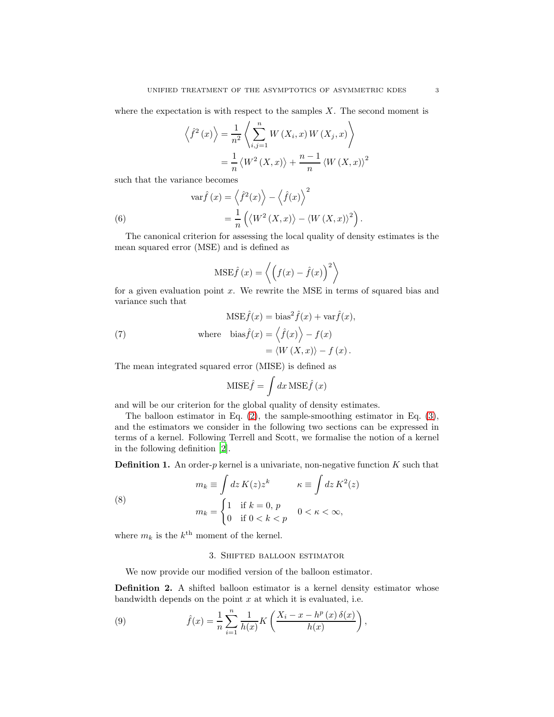where the expectation is with respect to the samples  $X$ . The second moment is

$$
\left\langle \hat{f}^2(x) \right\rangle = \frac{1}{n^2} \left\langle \sum_{i,j=1}^n W(X_i, x) W(X_j, x) \right\rangle
$$

$$
= \frac{1}{n} \left\langle W^2(X, x) \right\rangle + \frac{n-1}{n} \left\langle W(X, x) \right\rangle^2
$$

such that the variance becomes

<span id="page-2-4"></span>(6) 
$$
\operatorname{var} \hat{f}(x) = \left\langle \hat{f}^2(x) \right\rangle - \left\langle \hat{f}(x) \right\rangle^2
$$

$$
= \frac{1}{n} \left( \left\langle W^2(X, x) \right\rangle - \left\langle W(X, x) \right\rangle^2 \right).
$$

The canonical criterion for assessing the local quality of density estimates is the mean squared error (MSE) and is defined as

$$
\text{MSE}\hat{f}(x) = \left\langle \left( f(x) - \hat{f}(x) \right)^2 \right\rangle
$$

for a given evaluation point  $x$ . We rewrite the MSE in terms of squared bias and variance such that

<span id="page-2-1"></span>(7) 
$$
\text{MSE}\hat{f}(x) = \text{bias}^2 \hat{f}(x) + \text{var}\hat{f}(x),
$$

$$
\text{where } \text{bias}\hat{f}(x) = \left\langle \hat{f}(x) \right\rangle - f(x)
$$

$$
= \left\langle W(X, x) \right\rangle - f(x).
$$

The mean integrated squared error (MISE) is defined as

$$
MISE\hat{f} = \int dx MSE\hat{f}(x)
$$

and will be our criterion for the global quality of density estimates.

The balloon estimator in Eq. [\(2\)](#page-1-2), the sample-smoothing estimator in Eq. [\(3\)](#page-1-0), and the estimators we consider in the following two sections can be expressed in terms of a kernel. Following Terrell and Scott, we formalise the notion of a kernel in the following definition [\[2\]](#page-14-1).

<span id="page-2-3"></span>**Definition 1.** An order- $p$  kernel is a univariate, non-negative function  $K$  such that

(8)  
\n
$$
m_k \equiv \int dz K(z) z^k \qquad \kappa \equiv \int dz K^2(z)
$$
\n
$$
m_k = \begin{cases} 1 & \text{if } k = 0, p \\ 0 & \text{if } 0 < k < p \end{cases} \qquad 0 < \kappa < \infty,
$$

<span id="page-2-0"></span>where  $m_k$  is the  $k^{\text{th}}$  moment of the kernel.

## <span id="page-2-2"></span>3. Shifted balloon estimator

We now provide our modified version of the balloon estimator.

Definition 2. A shifted balloon estimator is a kernel density estimator whose bandwidth depends on the point  $x$  at which it is evaluated, i.e.

(9) 
$$
\hat{f}(x) = \frac{1}{n} \sum_{i=1}^{n} \frac{1}{h(x)} K\left(\frac{X_i - x - h^p(x) \,\delta(x)}{h(x)}\right),
$$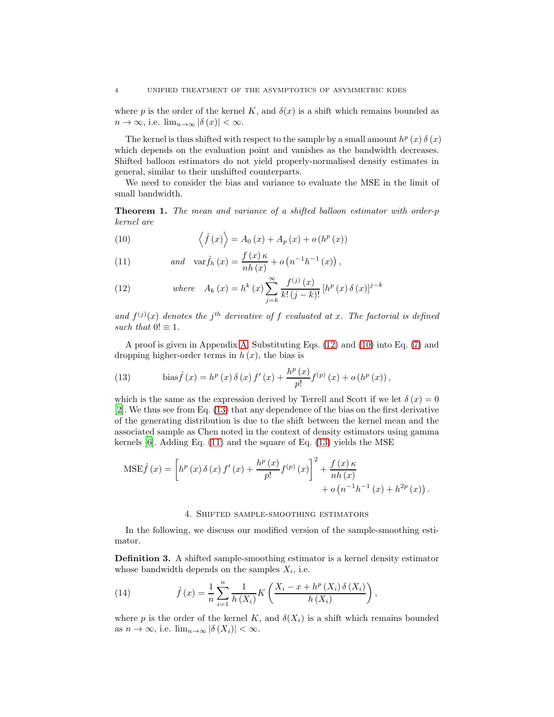where p is the order of the kernel K, and  $\delta(x)$  is a shift which remains bounded as  $n \to \infty$ , i.e.  $\lim_{n \to \infty} |\delta(x)| < \infty$ .

The kernel is thus shifted with respect to the sample by a small amount  $h^p(x) \delta(x)$ which depends on the evaluation point and vanishes as the bandwidth decreases. Shifted balloon estimators do not yield properly-normalised density estimates in general, similar to their unshifted counterparts.

We need to consider the bias and variance to evaluate the MSE in the limit of small bandwidth.

<span id="page-3-5"></span>Theorem 1. *The mean and variance of a shifted balloon estimator with order-*p *kernel are*

<span id="page-3-2"></span>(10) 
$$
\langle \hat{f}(x) \rangle = A_0(x) + A_p(x) + o(h^p(x))
$$

<span id="page-3-4"></span>(11) 
$$
and \quad \text{var}\hat{f}_h(x) = \frac{f(x)\kappa}{nh(x)} + o(n^{-1}h^{-1}(x)),
$$

<span id="page-3-1"></span>(12) 
$$
where \quad A_k(x) = h^k(x) \sum_{j=k}^{\infty} \frac{f^{(j)}(x)}{k! (j-k)!} [h^p(x) \delta(x)]^{j-k}
$$

and  $f^{(j)}(x)$  denotes the j<sup>th</sup> derivative of f evaluated at x. The factorial is defined *such that*  $0! \equiv 1$ *.* 

A proof is given in Appendix [A.](#page-10-1) Substituting Eqs. [\(12\)](#page-3-1) and [\(10\)](#page-3-2) into Eq. [\(7\)](#page-2-1) and dropping higher-order terms in  $h(x)$ , the bias is

<span id="page-3-3"></span>(13) 
$$
\text{bias} \hat{f}(x) = h^p(x) \, \delta(x) \, f'(x) + \frac{h^p(x)}{p!} f^{(p)}(x) + o(h^p(x)),
$$

which is the same as the expression derived by Terrell and Scott if we let  $\delta(x) = 0$ [\[2\]](#page-14-1). We thus see from Eq. [\(13\)](#page-3-3) that any dependence of the bias on the first derivative of the generating distribution is due to the shift between the kernel mean and the associated sample as Chen noted in the context of density estimators using gamma kernels  $[6]$ . Adding Eq.  $(11)$  and the square of Eq.  $(13)$  yields the MSE

$$
MSE\hat{f}(x) = \left[ h^{p}(x) \delta(x) f'(x) + \frac{h^{p}(x)}{p!} f^{(p)}(x) \right]^{2} + \frac{f(x) \kappa}{nh(x)} + o(n^{-1}h^{-1}(x) + h^{2p}(x)).
$$

### 4. Shifted sample-smoothing estimators

<span id="page-3-0"></span>In the following, we discuss our modified version of the sample-smoothing estimator.

Definition 3. A shifted sample-smoothing estimator is a kernel density estimator whose bandwidth depends on the samples  $X_i$ , i.e.

<span id="page-3-6"></span>(14) 
$$
\hat{f}(x) = \frac{1}{n} \sum_{i=1}^{n} \frac{1}{h(X_i)} K\left(\frac{X_i - x + h^p(X_i) \delta(X_i)}{h(X_i)}\right),
$$

where p is the order of the kernel K, and  $\delta(X_i)$  is a shift which remains bounded as  $n \to \infty$ , i.e.  $\lim_{n \to \infty} |\delta(X_i)| < \infty$ .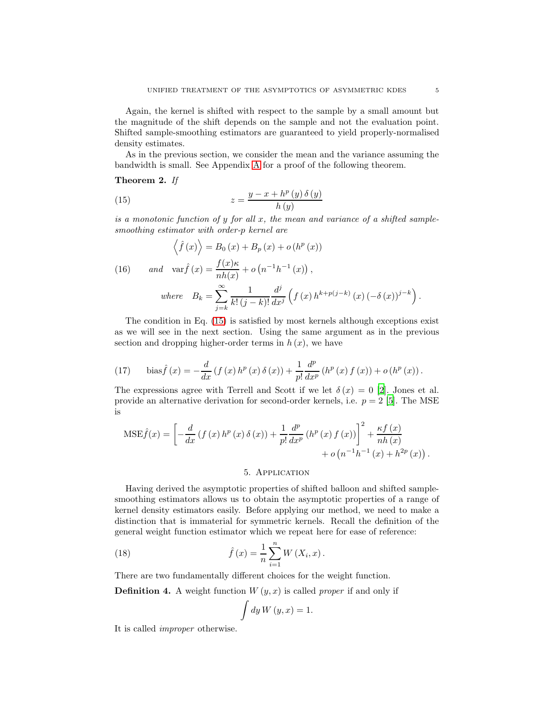Again, the kernel is shifted with respect to the sample by a small amount but the magnitude of the shift depends on the sample and not the evaluation point. Shifted sample-smoothing estimators are guaranteed to yield properly-normalised density estimates.

As in the previous section, we consider the mean and the variance assuming the bandwidth is small. See Appendix [A](#page-10-1) for a proof of the following theorem.

<span id="page-4-5"></span>Theorem 2. *If*

<span id="page-4-1"></span>(15) 
$$
z = \frac{y - x + h^p(y) \delta(y)}{h(y)}
$$

*is a monotonic function of* y *for all* x*, the mean and variance of a shifted samplesmoothing estimator with order-*p *kernel are*

<span id="page-4-4"></span>(16) 
$$
\left\langle \hat{f}(x) \right\rangle = B_0(x) + B_p(x) + o(h^p(x))
$$
  
(16) 
$$
and \quad \text{var}\hat{f}(x) = \frac{f(x)\kappa}{nh(x)} + o(n^{-1}h^{-1}(x)),
$$
  

$$
where \quad B_k = \sum_{j=k}^{\infty} \frac{1}{k!(j-k)!} \frac{d^j}{dx^j} \left( f(x) h^{k+p(j-k)}(x) \left( -\delta(x) \right)^{j-k} \right).
$$

The condition in Eq. [\(15\)](#page-4-1) is satisfied by most kernels although exceptions exist as we will see in the next section. Using the same argument as in the previous section and dropping higher-order terms in  $h(x)$ , we have

<span id="page-4-3"></span>(17) 
$$
\text{bias}\hat{f}(x) = -\frac{d}{dx}\left(f(x) h^p(x)\,\delta(x)\right) + \frac{1}{p!}\frac{d^p}{dx^p}\left(h^p(x)\,f(x)\right) + o\left(h^p(x)\right).
$$

The expressions agree with Terrell and Scott if we let  $\delta(x) = 0$  [\[2\]](#page-14-1). Jones et al. provide an alternative derivation for second-order kernels, i.e.  $p = 2$  [\[5\]](#page-14-4). The MSE is

$$
MSE\hat{f}(x) = \left[ -\frac{d}{dx} \left( f(x) h^{p}(x) \delta(x) \right) + \frac{1}{p!} \frac{d^{p}}{dx^{p}} \left( h^{p}(x) f(x) \right) \right]^{2} + \frac{\kappa f(x)}{nh(x)} + o(n^{-1}h^{-1}(x) + h^{2p}(x)).
$$

## 5. Application

<span id="page-4-0"></span>Having derived the asymptotic properties of shifted balloon and shifted samplesmoothing estimators allows us to obtain the asymptotic properties of a range of kernel density estimators easily. Before applying our method, we need to make a distinction that is immaterial for symmetric kernels. Recall the definition of the general weight function estimator which we repeat here for ease of reference:

(18) 
$$
\hat{f}(x) = \frac{1}{n} \sum_{i=1}^{n} W(X_i, x).
$$

There are two fundamentally different choices for the weight function.

**Definition 4.** A weight function  $W(y, x)$  is called *proper* if and only if

<span id="page-4-2"></span>
$$
\int dy W(y, x) = 1.
$$

It is called *improper* otherwise.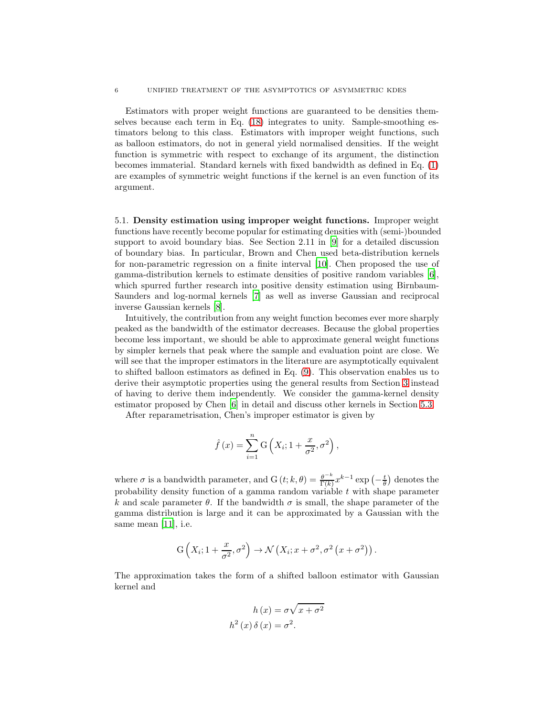Estimators with proper weight functions are guaranteed to be densities themselves because each term in Eq. [\(18\)](#page-4-2) integrates to unity. Sample-smoothing estimators belong to this class. Estimators with improper weight functions, such as balloon estimators, do not in general yield normalised densities. If the weight function is symmetric with respect to exchange of its argument, the distinction becomes immaterial. Standard kernels with fixed bandwidth as defined in Eq. [\(1\)](#page-0-0) are examples of symmetric weight functions if the kernel is an even function of its argument.

5.1. Density estimation using improper weight functions. Improper weight functions have recently become popular for estimating densities with (semi-)bounded support to avoid boundary bias. See Section 2.11 in [\[9\]](#page-15-2) for a detailed discussion of boundary bias. In particular, Brown and Chen used beta-distribution kernels for non-parametric regression on a finite interval [\[10\]](#page-15-3). Chen proposed the use of gamma-distribution kernels to estimate densities of positive random variables [\[6\]](#page-14-5), which spurred further research into positive density estimation using Birnbaum-Saunders and log-normal kernels [\[7\]](#page-15-0) as well as inverse Gaussian and reciprocal inverse Gaussian kernels [\[8\]](#page-15-1).

Intuitively, the contribution from any weight function becomes ever more sharply peaked as the bandwidth of the estimator decreases. Because the global properties become less important, we should be able to approximate general weight functions by simpler kernels that peak where the sample and evaluation point are close. We will see that the improper estimators in the literature are asymptotically equivalent to shifted balloon estimators as defined in Eq. [\(9\)](#page-2-2). This observation enables us to derive their asymptotic properties using the general results from Section [3](#page-2-0) instead of having to derive them independently. We consider the gamma-kernel density estimator proposed by Chen [\[6\]](#page-14-5) in detail and discuss other kernels in Section [5.3.](#page-9-0)

After reparametrisation, Chen's improper estimator is given by

$$
\hat{f}(x) = \sum_{i=1}^{n} G\left(X_i; 1 + \frac{x}{\sigma^2}, \sigma^2\right),
$$

where  $\sigma$  is a bandwidth parameter, and  $G(t; k, \theta) = \frac{\theta^{-k}}{\Gamma(k)}$  $\frac{\theta^{-\kappa}}{\Gamma(k)} x^{k-1} \exp\left(-\frac{t}{\theta}\right)$  denotes the probability density function of a gamma random variable  $t$  with shape parameter k and scale parameter  $\theta$ . If the bandwidth  $\sigma$  is small, the shape parameter of the gamma distribution is large and it can be approximated by a Gaussian with the same mean [\[11\]](#page-15-4), i.e.

$$
G\left(X_i; 1+\frac{x}{\sigma^2}, \sigma^2\right) \to \mathcal{N}\left(X_i; x+\sigma^2, \sigma^2\left(x+\sigma^2\right)\right).
$$

The approximation takes the form of a shifted balloon estimator with Gaussian kernel and

$$
h(x) = \sigma \sqrt{x + \sigma^2}
$$

$$
h^2(x)\,\delta(x) = \sigma^2.
$$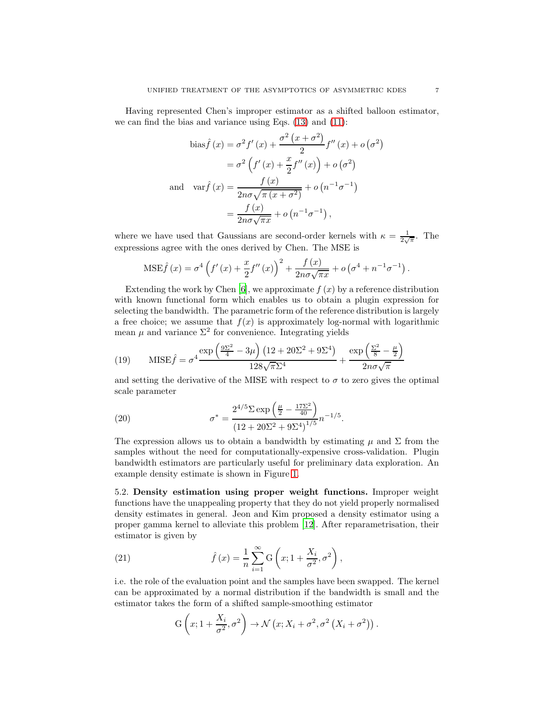Having represented Chen's improper estimator as a shifted balloon estimator, we can find the bias and variance using Eqs. [\(13\)](#page-3-3) and [\(11\)](#page-3-4):

bias 
$$
\hat{f}(x) = \sigma^2 f'(x) + \frac{\sigma^2 (x + \sigma^2)}{2} f''(x) + o(\sigma^2)
$$
  
\n
$$
= \sigma^2 \left( f'(x) + \frac{x}{2} f''(x) \right) + o(\sigma^2)
$$
\nand 
$$
\text{var} \hat{f}(x) = \frac{f(x)}{2n\sigma\sqrt{\pi (x + \sigma^2)}} + o(n^{-1}\sigma^{-1})
$$
\n
$$
= \frac{f(x)}{2n\sigma\sqrt{\pi x}} + o(n^{-1}\sigma^{-1}),
$$

where we have used that Gaussians are second-order kernels with  $\kappa = \frac{1}{2\sqrt{\pi}}$ . The expressions agree with the ones derived by Chen. The MSE is

$$
MSE\hat{f}(x) = \sigma^4 \left( f'(x) + \frac{x}{2} f''(x) \right)^2 + \frac{f(x)}{2n\sigma\sqrt{\pi x}} + o\left( \sigma^4 + n^{-1} \sigma^{-1} \right).
$$

Extending the work by Chen [\[6](#page-14-5)], we approximate  $f(x)$  by a reference distribution with known functional form which enables us to obtain a plugin expression for selecting the bandwidth. The parametric form of the reference distribution is largely a free choice; we assume that  $f(x)$  is approximately log-normal with logarithmic mean  $\mu$  and variance  $\Sigma^2$  for convenience. Integrating yields

<span id="page-6-1"></span>(19) 
$$
\text{MISE}\hat{f} = \sigma^4 \frac{\exp\left(\frac{9\Sigma^2}{4} - 3\mu\right)(12 + 20\Sigma^2 + 9\Sigma^4)}{128\sqrt{\pi}\Sigma^4} + \frac{\exp\left(\frac{\Sigma^2}{8} - \frac{\mu}{2}\right)}{2n\sigma\sqrt{\pi}}
$$

and setting the derivative of the MISE with respect to  $\sigma$  to zero gives the optimal scale parameter

<span id="page-6-0"></span>(20) 
$$
\sigma^* = \frac{2^{4/5} \Sigma \exp\left(\frac{\mu}{2} - \frac{17\Sigma^2}{40}\right)}{(12 + 20\Sigma^2 + 9\Sigma^4)^{1/5}} n^{-1/5}.
$$

The expression allows us to obtain a bandwidth by estimating  $\mu$  and  $\Sigma$  from the samples without the need for computationally-expensive cross-validation. Plugin bandwidth estimators are particularly useful for preliminary data exploration. An example density estimate is shown in Figure [1.](#page-7-0)

5.2. Density estimation using proper weight functions. Improper weight functions have the unappealing property that they do not yield properly normalised density estimates in general. Jeon and Kim proposed a density estimator using a proper gamma kernel to alleviate this problem [\[12](#page-15-5)]. After reparametrisation, their estimator is given by

(21) 
$$
\hat{f}(x) = \frac{1}{n} \sum_{i=1}^{\infty} G\left(x; 1 + \frac{X_i}{\sigma^2}, \sigma^2\right),
$$

i.e. the role of the evaluation point and the samples have been swapped. The kernel can be approximated by a normal distribution if the bandwidth is small and the estimator takes the form of a shifted sample-smoothing estimator

<span id="page-6-2"></span>
$$
G\left(x; 1+\frac{X_i}{\sigma^2}, \sigma^2\right) \to \mathcal{N}\left(x; X_i + \sigma^2, \sigma^2\left(X_i + \sigma^2\right)\right).
$$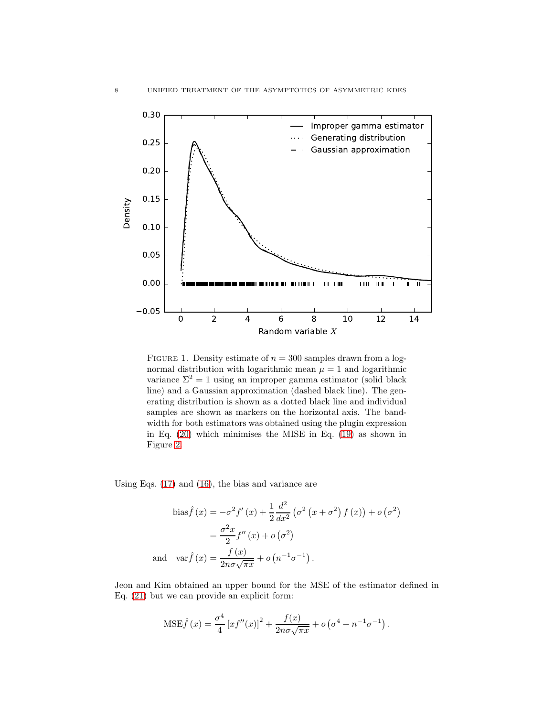

<span id="page-7-0"></span>FIGURE 1. Density estimate of  $n = 300$  samples drawn from a lognormal distribution with logarithmic mean  $\mu = 1$  and logarithmic variance  $\Sigma^2 = 1$  using an improper gamma estimator (solid black line) and a Gaussian approximation (dashed black line). The generating distribution is shown as a dotted black line and individual samples are shown as markers on the horizontal axis. The bandwidth for both estimators was obtained using the plugin expression in Eq. [\(20\)](#page-6-0) which minimises the MISE in Eq. [\(19\)](#page-6-1) as shown in Figure [2.](#page-8-0)

Using Eqs. [\(17\)](#page-4-3) and [\(16\)](#page-4-4), the bias and variance are

bias 
$$
\hat{f}(x) = -\sigma^2 f'(x) + \frac{1}{2} \frac{d^2}{dx^2} (\sigma^2 (x + \sigma^2) f(x)) + o(\sigma^2)
$$
  

$$
= \frac{\sigma^2 x}{2} f''(x) + o(\sigma^2)
$$
and  $\operatorname{var} \hat{f}(x) = \frac{f(x)}{2n\sigma\sqrt{\pi x}} + o(n^{-1}\sigma^{-1}).$ 

Jeon and Kim obtained an upper bound for the MSE of the estimator defined in Eq. [\(21\)](#page-6-2) but we can provide an explicit form:

$$
MSE\hat{f}(x) = \frac{\sigma^4}{4} [xf''(x)]^2 + \frac{f(x)}{2n\sigma\sqrt{\pi x}} + o(\sigma^4 + n^{-1}\sigma^{-1}).
$$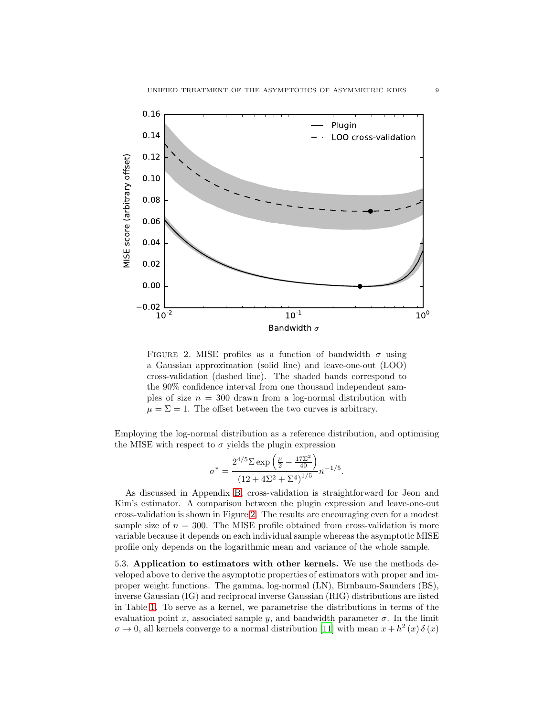

<span id="page-8-0"></span>FIGURE 2. MISE profiles as a function of bandwidth  $\sigma$  using a Gaussian approximation (solid line) and leave-one-out (LOO) cross-validation (dashed line). The shaded bands correspond to the 90% confidence interval from one thousand independent samples of size  $n = 300$  drawn from a log-normal distribution with  $\mu = \Sigma = 1$ . The offset between the two curves is arbitrary.

Employing the log-normal distribution as a reference distribution, and optimising the MISE with respect to  $\sigma$  yields the plugin expression

$$
\sigma^* = \frac{2^{4/5} \Sigma \exp\left(\frac{\mu}{2} - \frac{17\Sigma^2}{40}\right)}{(12 + 4\Sigma^2 + \Sigma^4)^{1/5}} n^{-1/5}.
$$

As discussed in Appendix [B,](#page-14-6) cross-validation is straightforward for Jeon and Kim's estimator. A comparison between the plugin expression and leave-one-out cross-validation is shown in Figure [2.](#page-8-0) The results are encouraging even for a modest sample size of  $n = 300$ . The MISE profile obtained from cross-validation is more variable because it depends on each individual sample whereas the asymptotic MISE profile only depends on the logarithmic mean and variance of the whole sample.

5.3. Application to estimators with other kernels. We use the methods developed above to derive the asymptotic properties of estimators with proper and improper weight functions. The gamma, log-normal (LN), Birnbaum-Saunders (BS), inverse Gaussian (IG) and reciprocal inverse Gaussian (RIG) distributions are listed in Table [1.](#page-9-1) To serve as a kernel, we parametrise the distributions in terms of the evaluation point x, associated sample y, and bandwidth parameter  $\sigma$ . In the limit  $\sigma \to 0$ , all kernels converge to a normal distribution [\[11\]](#page-15-4) with mean  $x + h^2(x) \delta(x)$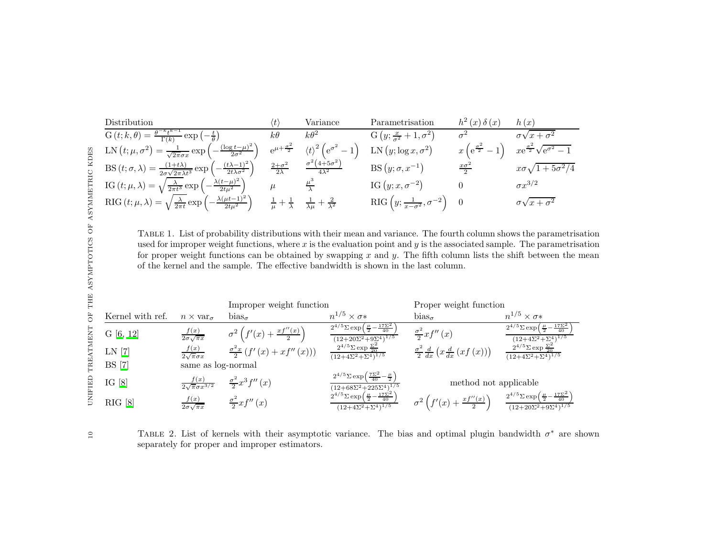Distribution

\n
$$
\frac{\text{G}(t; k, \theta) = \frac{\theta^{-k} t^{k-1}}{\Gamma(k)} \exp\left(-\frac{t}{\theta}\right)}{\text{LN}\left(t; \mu, \sigma^2\right) = \frac{1}{\sqrt{2\pi\sigma x}} \exp\left(-\frac{(\log t - \mu)^2}{2\sigma^2}\right)} \quad k\theta \quad k\theta^2 \quad \text{G}\left(y; \frac{x}{\sigma^2} + 1, \sigma^2\right) \quad \sigma^2 \quad \sigma\sqrt{x + \sigma^2}
$$
\n
$$
\text{LN}\left(t; \mu, \sigma^2\right) = \frac{1}{\sqrt{2\pi\sigma x}} \exp\left(-\frac{(\log t - \mu)^2}{2\sigma^2}\right) \quad e^{\mu + \frac{\sigma^2}{2}} \quad \langle t \rangle^2 \left(e^{\sigma^2} - 1\right) \quad \text{LN}\left(y; \log x, \sigma^2\right) \quad x \left(e^{\frac{\sigma^2}{2}} - 1\right) \quad x e^{\frac{\sigma^2}{2}} \sqrt{e^{\sigma^2} - 1}
$$
\n
$$
\text{BS}\left(t; \sigma, \lambda\right) = \frac{(1 + t\lambda)}{2\sigma\sqrt{2\pi\lambda t^3}} \exp\left(-\frac{(t\lambda - 1)^2}{2t\lambda \sigma^2}\right) \quad \frac{2 + \sigma^2}{2\lambda} \quad \frac{\sigma^2 (4 + 5\sigma^2)}{4\lambda^2} \quad \text{BS}\left(y; \sigma, x^{-1}\right) \quad \frac{x\sigma^2}{2} \quad x\sigma\sqrt{1 + 5\sigma^2/4}
$$
\n
$$
\text{IG}\left(t; \mu, \lambda\right) = \sqrt{\frac{\lambda}{2\pi t}} \exp\left(-\frac{\lambda(t - \mu)^2}{2t\mu^2}\right) \quad \mu \quad \frac{\mu^3}{\lambda} \quad \text{IG}\left(y; x, \sigma^{-2}\right) \quad 0 \quad \sigma x^{3/2}
$$
\n
$$
\text{RIG}\left(y; \frac{1}{x - \sigma^2}, \sigma^{-2}\right) \quad 0 \quad \sigma\sqrt{x + \sigma^2}
$$

<span id="page-9-1"></span>Table 1. List of probability distributions with their mean and variance. The fourth column shows the parametrisation used for improper weight functions, where  $x$  is the evaluation point and  $y$  is the associated sample. The parametrisation for proper weight functions can be obtained by swapping x and y. The fifth column lists the shift between the mean of the kernel and the sample. The effective bandwidth is shown in the last column.

|                  |                                          | Improper weight function                       |                                                                                                            | Proper weight function                                                                              |                                                                                                           |
|------------------|------------------------------------------|------------------------------------------------|------------------------------------------------------------------------------------------------------------|-----------------------------------------------------------------------------------------------------|-----------------------------------------------------------------------------------------------------------|
| Kernel with ref. | $n \times \text{var}_{\sigma}$           | $bias_{\sigma}$                                | $n^{1/5} \times \sigma*$                                                                                   | $bias_{\sigma}$                                                                                     | $n^{1/5} \times \sigma*$                                                                                  |
| G [6, 12]        | $\frac{f(x)}{2\sigma\sqrt{\pi x}}$       | $\sigma^2\left(f'(x)+\frac{xf''(x)}{2}\right)$ | $2^{4/5}\Sigma \exp\left(\frac{\mu}{2}-\frac{17\Sigma^2}{40}\right)$<br>$(12+20\Sigma^2+9\Sigma^4)^{1/5}$  | $\frac{\sigma^2}{2}xf''(x)$                                                                         | $2^{4/5}\Sigma \exp\left(\frac{\mu}{2}-\frac{17\Sigma^2}{40}\right)$<br>$(12+4\Sigma^2+\Sigma^4)^{1/5}$   |
| LN [7]           | $\frac{f(x)}{2\sqrt{\pi}\sigma x}$       | $\frac{\sigma^2 x}{2} (f'(x) + xf''(x)))$      | $2^{4/5}\Sigma$ exp $\frac{\Sigma^2}{20}$<br>$(12+4\Sigma^2+\Sigma^4)^{1/5}$                               | $\frac{\sigma^2}{2} \frac{d}{dx} \left( x \frac{d}{dx} \left( x f \left( x \right) \right) \right)$ | $\frac{2^{4/5}\Sigma \exp{\frac{\Sigma^2}{20}}}{(12+4\Sigma^2+\Sigma^4)^{1/5}}$                           |
| <b>BS</b> [7]    | same as log-normal                       |                                                |                                                                                                            |                                                                                                     |                                                                                                           |
| IG $[8]$         | $\frac{f(x)}{2\sqrt{\pi}\sigma x^{3/2}}$ | $\frac{\sigma^2}{2}x^3f''(x)$                  | $2^{4/5}\Sigma \exp\left(\frac{7\Sigma^2}{40}-\frac{\mu}{2}\right)$<br>$(12+68\Sigma^2+225\Sigma^4)^{1/5}$ | method not applicable                                                                               |                                                                                                           |
| RIG [8]          | $\frac{f(x)}{2\sigma\sqrt{\pi x}}$       | $\frac{\sigma^2}{2}xf''(x)$                    | $2^{4/5}\Sigma \exp\left(\frac{\mu}{2}-\frac{17\Sigma^2}{40}\right)$<br>$(12+4\Sigma^2+\Sigma^4)^{1/5}$    | $\sigma^2\left(f'(x)+\frac{xf''(x)}{2}\right)$                                                      | $2^{4/5}\Sigma \exp\left(\frac{\mu}{2}-\frac{17\Sigma^2}{40}\right)$<br>$(12+20\Sigma^2+9\Sigma^4)^{1/5}$ |

<span id="page-9-0"></span>TABLE 2. List of kernels with their asymptotic variance. The bias and optimal plugin bandwidth  $\sigma^*$  are shown separately for proper and improper estimators.

 $\Xi$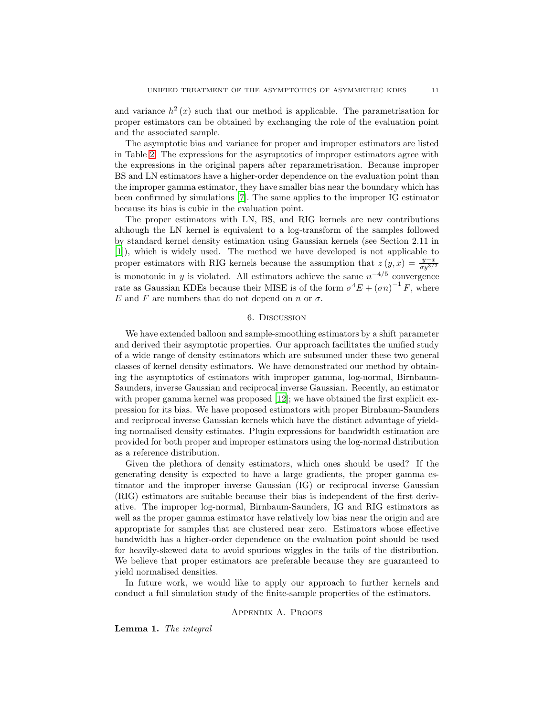and variance  $h^2(x)$  such that our method is applicable. The parametrisation for proper estimators can be obtained by exchanging the role of the evaluation point and the associated sample.

The asymptotic bias and variance for proper and improper estimators are listed in Table [2.](#page-9-0) The expressions for the asymptotics of improper estimators agree with the expressions in the original papers after reparametrisation. Because improper BS and LN estimators have a higher-order dependence on the evaluation point than the improper gamma estimator, they have smaller bias near the boundary which has been confirmed by simulations [\[7\]](#page-15-0). The same applies to the improper IG estimator because its bias is cubic in the evaluation point.

The proper estimators with LN, BS, and RIG kernels are new contributions although the LN kernel is equivalent to a log-transform of the samples followed by standard kernel density estimation using Gaussian kernels (see Section 2.11 in [\[1\]](#page-14-0)), which is widely used. The method we have developed is not applicable to proper estimators with RIG kernels because the assumption that  $z(y, x) = \frac{y - x}{\sigma y^{3/2}}$ is monotonic in y is violated. All estimators achieve the same  $n^{-4/5}$  convergence rate as Gaussian KDEs because their MISE is of the form  $\sigma^4 E + (\sigma n)^{-1} F$ , where E and F are numbers that do not depend on n or  $\sigma$ .

## 6. Discussion

<span id="page-10-0"></span>We have extended balloon and sample-smoothing estimators by a shift parameter and derived their asymptotic properties. Our approach facilitates the unified study of a wide range of density estimators which are subsumed under these two general classes of kernel density estimators. We have demonstrated our method by obtaining the asymptotics of estimators with improper gamma, log-normal, Birnbaum-Saunders, inverse Gaussian and reciprocal inverse Gaussian. Recently, an estimator with proper gamma kernel was proposed [\[12](#page-15-5)]; we have obtained the first explicit expression for its bias. We have proposed estimators with proper Birnbaum-Saunders and reciprocal inverse Gaussian kernels which have the distinct advantage of yielding normalised density estimates. Plugin expressions for bandwidth estimation are provided for both proper and improper estimators using the log-normal distribution as a reference distribution.

Given the plethora of density estimators, which ones should be used? If the generating density is expected to have a large gradients, the proper gamma estimator and the improper inverse Gaussian (IG) or reciprocal inverse Gaussian (RIG) estimators are suitable because their bias is independent of the first derivative. The improper log-normal, Birnbaum-Saunders, IG and RIG estimators as well as the proper gamma estimator have relatively low bias near the origin and are appropriate for samples that are clustered near zero. Estimators whose effective bandwidth has a higher-order dependence on the evaluation point should be used for heavily-skewed data to avoid spurious wiggles in the tails of the distribution. We believe that proper estimators are preferable because they are guaranteed to yield normalised densities.

<span id="page-10-1"></span>In future work, we would like to apply our approach to further kernels and conduct a full simulation study of the finite-sample properties of the estimators.

#### Appendix A. Proofs

<span id="page-10-2"></span>Lemma 1. *The integral*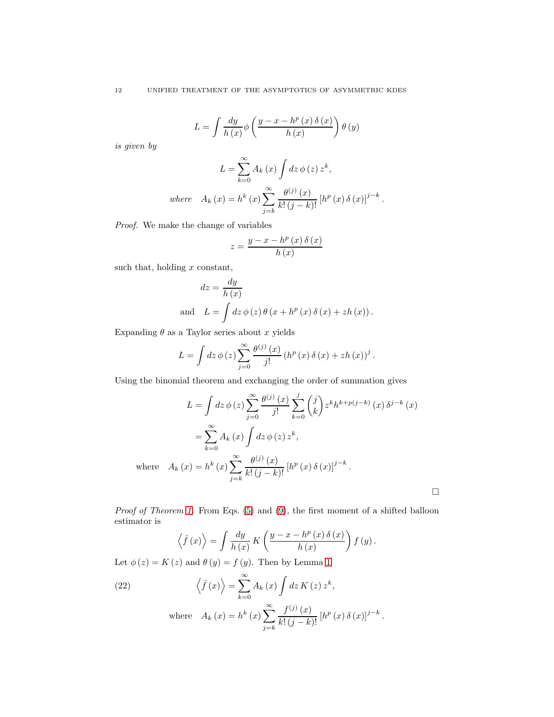$$
L = \int \frac{dy}{h(x)} \phi\left(\frac{y - x - h^{p}(x) \delta(x)}{h(x)}\right) \theta(y)
$$

*is given by*

$$
L = \sum_{k=0}^{\infty} A_k(x) \int dz \, \phi(z) \, z^k,
$$
  
where 
$$
A_k(x) = h^k(x) \sum_{j=k}^{\infty} \frac{\theta^{(j)}(x)}{k! (j-k)!} [h^p(x) \, \delta(x)]^{j-k}.
$$

*Proof.* We make the change of variables

$$
z = \frac{y - x - h^p(x) \delta(x)}{h(x)}
$$

such that, holding  $x$  constant,

$$
dz = \frac{dy}{h(x)}
$$
  
and 
$$
L = \int dz \, \phi(z) \, \theta(x + h^{p}(x) \, \delta(x) + zh(x)).
$$

Expanding  $\theta$  as a Taylor series about x yields

$$
L = \int dz \, \phi(z) \sum_{j=0}^{\infty} \frac{\theta^{(j)}(x)}{j!} \left( h^p(x) \, \delta(x) + z h(x) \right)^j.
$$

Using the binomial theorem and exchanging the order of summation gives

$$
L = \int dz \, \phi(z) \sum_{j=0}^{\infty} \frac{\theta^{(j)}(x)}{j!} \sum_{k=0}^{j} {j \choose k} z^{k} h^{k+p(j-k)}(x) \, \delta^{j-k}(x)
$$

$$
= \sum_{k=0}^{\infty} A_k(x) \int dz \, \phi(z) \, z^{k},
$$
where  $A_k(x) = h^k(x) \sum_{j=k}^{\infty} \frac{\theta^{(j)}(x)}{k! (j-k)!} [h^p(x) \, \delta(x)]^{j-k}.$ 

 $\Box$ 

*Proof of Theorem [1.](#page-3-5)* From Eqs. [\(5\)](#page-1-3) and [\(9\)](#page-2-2), the first moment of a shifted balloon estimator is

$$
\left\langle \hat{f}(x) \right\rangle = \int \frac{dy}{h(x)} K\left(\frac{y - x - h^{p}(x) \delta(x)}{h(x)}\right) f(y).
$$

Let  $\phi(z) = K(z)$  and  $\theta(y) = f(y)$ . Then by Lemma [1](#page-10-2)

<span id="page-11-0"></span>(22) 
$$
\left\langle \hat{f}(x) \right\rangle = \sum_{k=0}^{\infty} A_k(x) \int dz K(z) z^k,
$$
  
where 
$$
A_k(x) = h^k(x) \sum_{j=k}^{\infty} \frac{f^{(j)}(x)}{k! (j-k)!} [h^p(x) \delta(x)]^{j-k}.
$$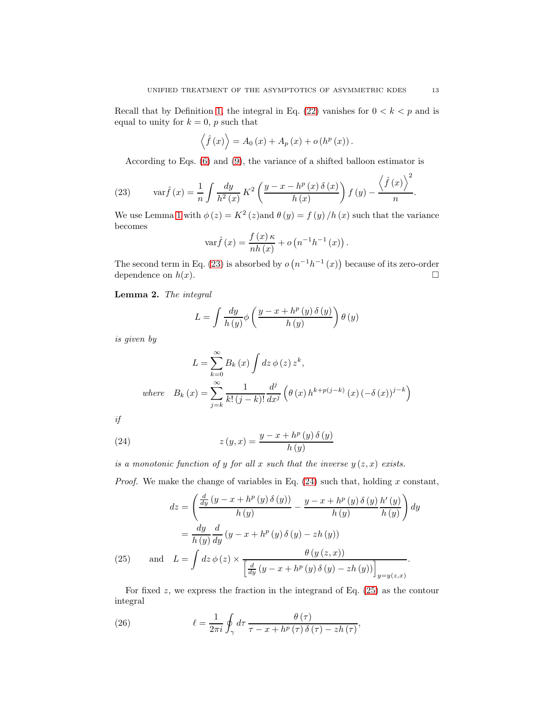Recall that by Definition [1,](#page-2-3) the integral in Eq. [\(22\)](#page-11-0) vanishes for  $0 < k < p$  and is equal to unity for  $k = 0$ , p such that

$$
\langle \hat{f}(x) \rangle = A_0(x) + A_p(x) + o(h^p(x)).
$$

According to Eqs. [\(6\)](#page-2-4) and [\(9\)](#page-2-2), the variance of a shifted balloon estimator is

<span id="page-12-0"></span>(23) 
$$
\operatorname{var} \hat{f}(x) = \frac{1}{n} \int \frac{dy}{h^2(x)} K^2 \left( \frac{y - x - h^p(x) \delta(x)}{h(x)} \right) f(y) - \frac{\left\langle \hat{f}(x) \right\rangle^2}{n}.
$$

We use Lemma [1](#page-10-2) with  $\phi(z) = K^2(z)$  and  $\theta(y) = f(y)/h(x)$  such that the variance becomes

$$
\operatorname{var}\hat{f}(x) = \frac{f(x)\kappa}{nh(x)} + o\left(n^{-1}h^{-1}(x)\right).
$$

The second term in Eq. [\(23\)](#page-12-0) is absorbed by  $o(n^{-1}h^{-1}(x))$  because of its zero-order dependence on  $h(x)$ .

<span id="page-12-4"></span>Lemma 2. *The integral*

$$
L = \int \frac{dy}{h(y)} \phi\left(\frac{y - x + h^p(y) \delta(y)}{h(y)}\right) \theta(y)
$$

*is given by*

$$
L = \sum_{k=0}^{\infty} B_k(x) \int dz \, \phi(z) \, z^k,
$$
  
where 
$$
B_k(x) = \sum_{j=k}^{\infty} \frac{1}{k! (j-k)!} \frac{d^j}{dx^j} \left( \theta(x) \, h^{k+p(j-k)} \left( x \right) (-\delta(x))^{j-k} \right)
$$

*if*

<span id="page-12-1"></span>(24) 
$$
z(y,x) = \frac{y - x + h^p(y) \delta(y)}{h(y)}
$$

*is a monotonic function of y for all* x *such that the inverse*  $y(z, x)$  *exists.* 

*Proof.* We make the change of variables in Eq. [\(24\)](#page-12-1) such that, holding x constant,

$$
dz = \left(\frac{\frac{d}{dy}(y - x + h^p(y)\,\delta(y))}{h(y)} - \frac{y - x + h^p(y)\,\delta(y)}{h(y)}\frac{h'(y)}{h(y)}\right)dy
$$

$$
= \frac{dy}{h(y)}\frac{d}{dy}(y - x + h^p(y)\,\delta(y) - zh(y))
$$
  
(25) and 
$$
L = \int dz\,\phi(z) \times \frac{\theta(y(z, x))}{\left[\frac{d}{dy}(y - x + h^p(y)\,\delta(y) - zh(y))\right]_{y=y(z, x)}}.
$$

<span id="page-12-2"></span>For fixed  $z$ , we express the fraction in the integrand of Eq.  $(25)$  as the contour integral

<span id="page-12-3"></span>(26) 
$$
\ell = \frac{1}{2\pi i} \oint_{\gamma} d\tau \, \frac{\theta(\tau)}{\tau - x + h^p(\tau) \, \delta(\tau) - z h(\tau)},
$$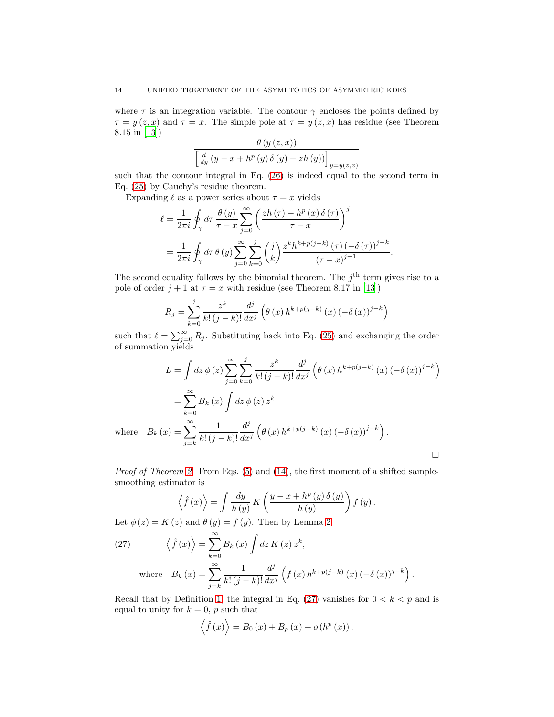where  $\tau$  is an integration variable. The contour  $\gamma$  encloses the points defined by  $\tau = y(z, x)$  and  $\tau = x$ . The simple pole at  $\tau = y(z, x)$  has residue (see Theorem 8.15 in [\[13](#page-15-9)])  $\theta$  (y (z, x))

$$
\frac{\theta (y(z, x))}{\left[\frac{d}{dy} (y - x + h^p(y) \delta (y) - zh(y))\right]_{y=y(z, x)}}
$$

such that the contour integral in Eq. [\(26\)](#page-12-3) is indeed equal to the second term in Eq. [\(25\)](#page-12-2) by Cauchy's residue theorem.

Expanding  $\ell$  as a power series about  $\tau = x$  yields

$$
\ell = \frac{1}{2\pi i} \oint_{\gamma} d\tau \, \frac{\theta(y)}{\tau - x} \sum_{j=0}^{\infty} \left( \frac{zh(\tau) - h^p(x) \, \delta(\tau)}{\tau - x} \right)^j
$$

$$
= \frac{1}{2\pi i} \oint_{\gamma} d\tau \, \theta(y) \sum_{j=0}^{\infty} \sum_{k=0}^j \binom{j}{k} \frac{z^k h^{k+p(j-k)}(\tau) \, (-\delta(\tau))^{j-k}}{(\tau - x)^{j+1}}.
$$

The second equality follows by the binomial theorem. The  $j<sup>th</sup>$  term gives rise to a pole of order  $j + 1$  at  $\tau = x$  with residue (see Theorem 8.17 in [\[13\]](#page-15-9))

$$
R_{j} = \sum_{k=0}^{j} \frac{z^{k}}{k! (j-k)!} \frac{d^{j}}{dx^{j}} \left(\theta(x) h^{k+p(j-k)}(x) (-\delta(x))^{j-k}\right)
$$

such that  $\ell = \sum_{j=0}^{\infty} R_j$ . Substituting back into Eq. [\(25\)](#page-12-2) and exchanging the order of summation yields

$$
L = \int dz \, \phi(z) \sum_{j=0}^{\infty} \sum_{k=0}^{j} \frac{z^{k}}{k! (j-k)!} \frac{d^{j}}{dx^{j}} \left(\theta(x) h^{k+p(j-k)} (x) \left(-\delta(x)\right)^{j-k}\right)
$$
  
= 
$$
\sum_{k=0}^{\infty} B_{k}(x) \int dz \, \phi(z) z^{k}
$$
  

$$
B_{k}(x) = \sum_{j=k}^{\infty} \frac{1}{k! (j-k)!} \frac{d^{j}}{dx^{j}} \left(\theta(x) h^{k+p(j-k)} (x) \left(-\delta(x)\right)^{j-k}\right).
$$

*Proof of Theorem [2.](#page-4-5)* From Eqs. [\(5\)](#page-1-3) and [\(14\)](#page-3-6), the first moment of a shifted samplesmoothing estimator is

$$
\left\langle \hat{f}(x)\right\rangle = \int \frac{dy}{h(y)} K\left(\frac{y-x+h^p\left(y\right)\delta\left(y\right)}{h\left(y\right)}\right) f\left(y\right).
$$

Let  $\phi(z) = K(z)$  and  $\theta(y) = f(y)$ . Then by Lemma [2](#page-12-4)

<span id="page-13-0"></span>(27) 
$$
\left\langle \hat{f}(x) \right\rangle = \sum_{k=0}^{\infty} B_k(x) \int dz K(z) z^k,
$$
  
where 
$$
B_k(x) = \sum_{j=k}^{\infty} \frac{1}{k! (j-k)!} \frac{d^j}{dx^j} \left( f(x) h^{k+p(j-k)} (x) \left( -\delta (x) \right)^{j-k} \right)
$$

Recall that by Definition [1,](#page-2-3) the integral in Eq. [\(27\)](#page-13-0) vanishes for  $0 < k < p$  and is equal to unity for  $k = 0$ , p such that

.

$$
\langle \hat{f}(x) \rangle = B_0(x) + B_p(x) + o(h^p(x)).
$$

where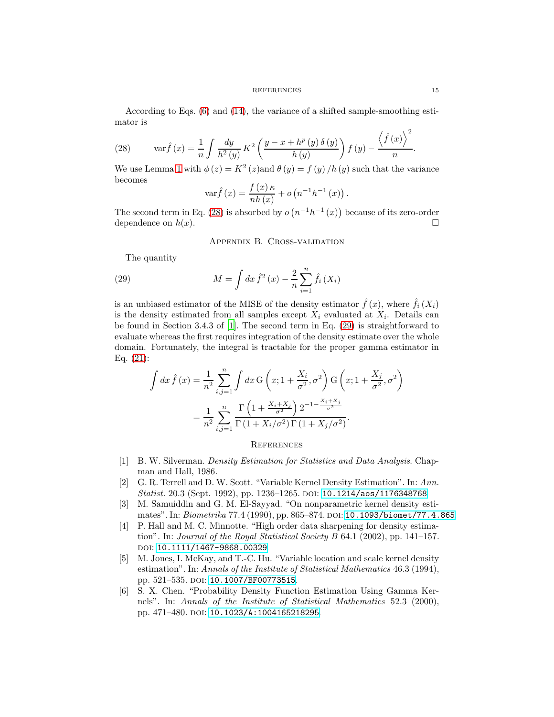#### REFERENCES 15

According to Eqs. [\(6\)](#page-2-4) and [\(14\)](#page-3-6), the variance of a shifted sample-smoothing estimator is

<span id="page-14-8"></span>(28) 
$$
\operatorname{var} \hat{f}(x) = \frac{1}{n} \int \frac{dy}{h^2(y)} K^2 \left( \frac{y - x + h^p(y) \,\delta(y)}{h(y)} \right) f(y) - \frac{\left\langle \hat{f}(x) \right\rangle^2}{n}.
$$

We use Lemma [1](#page-10-2) with  $\phi(z) = K^2(z)$  and  $\theta(y) = f(y)/h(y)$  such that the variance becomes

$$
\operatorname{var}\hat{f}(x) = \frac{f(x)\kappa}{nh(x)} + o(n^{-1}h^{-1}(x)).
$$

<span id="page-14-6"></span>The second term in Eq. [\(28\)](#page-14-8) is absorbed by  $o(n^{-1}h^{-1}(x))$  because of its zero-order dependence on  $h(x)$ .

<span id="page-14-9"></span>Appendix B. Cross-validation

The quantity

(29) 
$$
M = \int dx \,\hat{f}^2(x) - \frac{2}{n} \sum_{i=1}^n \hat{f}_i(X_i)
$$

is an unbiased estimator of the MISE of the density estimator  $\hat{f}(x)$ , where  $\hat{f}_i(X_i)$ is the density estimated from all samples except  $X_i$  evaluated at  $X_i$ . Details can be found in Section 3.4.3 of [\[1\]](#page-14-0). The second term in Eq. [\(29\)](#page-14-9) is straightforward to evaluate whereas the first requires integration of the density estimate over the whole domain. Fortunately, the integral is tractable for the proper gamma estimator in Eq. [\(21\)](#page-6-2):

$$
\int dx \,\hat{f}(x) = \frac{1}{n^2} \sum_{i,j=1}^n \int dx \,G\left(x; 1 + \frac{X_i}{\sigma^2}, \sigma^2\right) G\left(x; 1 + \frac{X_j}{\sigma^2}, \sigma^2\right)
$$

$$
= \frac{1}{n^2} \sum_{i,j=1}^n \frac{\Gamma\left(1 + \frac{X_i + X_j}{\sigma^2}\right) 2^{-1 - \frac{X_i + X_j}{\sigma^2}}}{\Gamma\left(1 + X_i/\sigma^2\right) \Gamma\left(1 + X_j/\sigma^2\right)}.
$$

## <span id="page-14-7"></span>**REFERENCES**

- <span id="page-14-0"></span>[1] B. W. Silverman. *Density Estimation for Statistics and Data Analysis*. Chapman and Hall, 1986.
- <span id="page-14-1"></span>[2] G. R. Terrell and D. W. Scott. "Variable Kernel Density Estimation". In: *Ann. Statist.* 20.3 (Sept. 1992), pp. 1236–1265. doi: [10.1214/aos/1176348768](http://dx.doi.org/10.1214/aos/1176348768).
- <span id="page-14-2"></span>[3] M. Samuiddin and G. M. El-Sayyad. "On nonparametric kernel density estimates". In: *Biometrika* 77.4 (1990), pp. 865–874. DOI: [10.1093/biomet/77.4.865](http://dx.doi.org/10.1093/biomet/77.4.865).
- <span id="page-14-3"></span>[4] P. Hall and M. C. Minnotte. "High order data sharpening for density estimation". In: *Journal of the Royal Statistical Society B* 64.1 (2002), pp. 141–157. DOI: [10.1111/1467-9868.00329](http://dx.doi.org/10.1111/1467-9868.00329).
- <span id="page-14-4"></span>[5] M. Jones, I. McKay, and T.-C. Hu. "Variable location and scale kernel density estimation". In: *Annals of the Institute of Statistical Mathematics* 46.3 (1994), pp. 521–535. doi: [10.1007/BF00773515](http://dx.doi.org/10.1007/BF00773515).
- <span id="page-14-5"></span>[6] S. X. Chen. "Probability Density Function Estimation Using Gamma Kernels". In: *Annals of the Institute of Statistical Mathematics* 52.3 (2000), pp. 471-480. doi: [10.1023/A:1004165218295](http://dx.doi.org/10.1023/A:1004165218295).